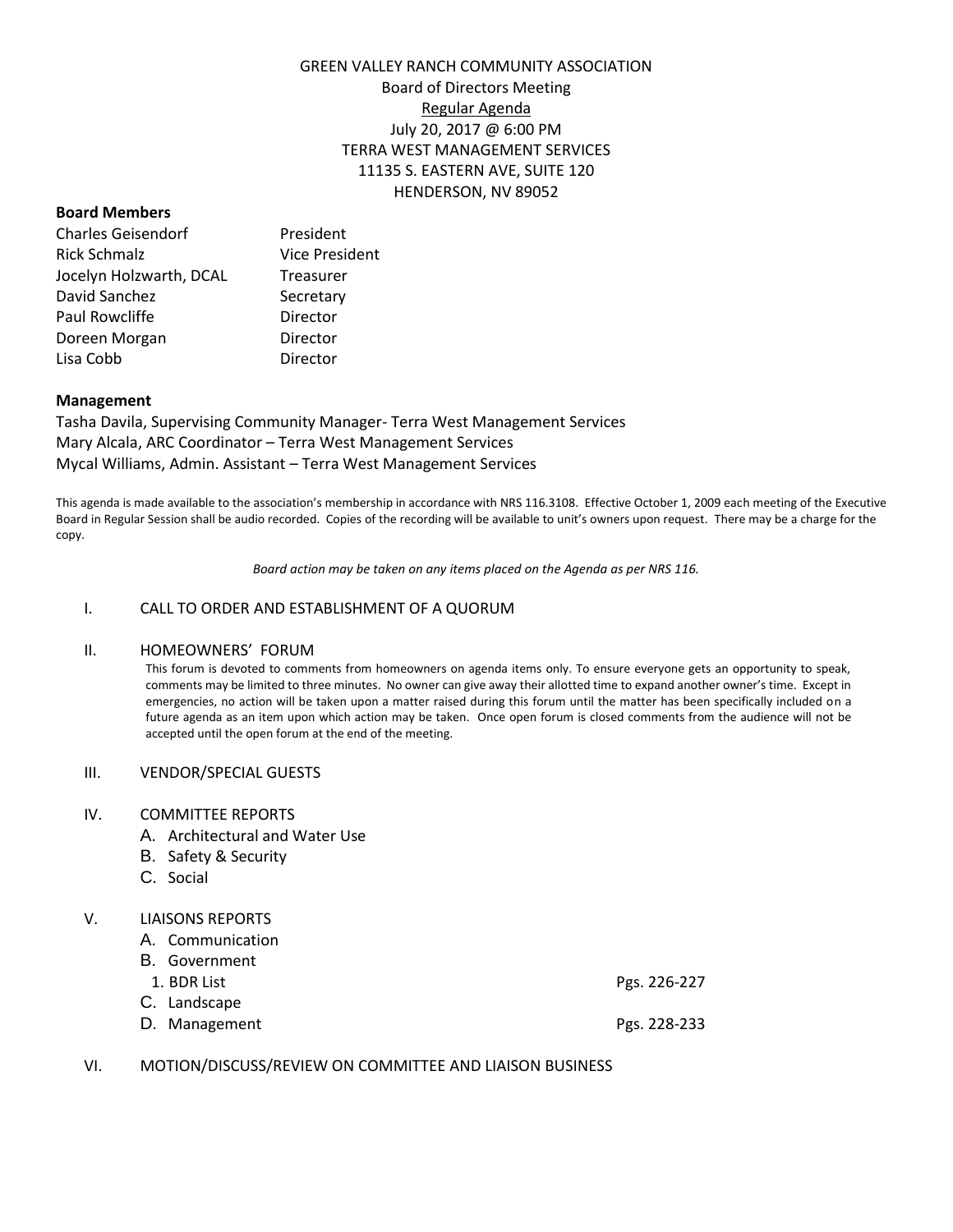## GREEN VALLEY RANCH COMMUNITY ASSOCIATION Board of Directors Meeting Regular Agenda July 20, 2017 @ 6:00 PM TERRA WEST MANAGEMENT SERVICES

11135 S. EASTERN AVE, SUITE 120 HENDERSON, NV 89052

# **Board Members**

| <b>Charles Geisendorf</b> | President             |
|---------------------------|-----------------------|
| Rick Schmalz              | <b>Vice President</b> |
| Jocelyn Holzwarth, DCAL   | Treasurer             |
| David Sanchez             | Secretary             |
| Paul Rowcliffe            | Director              |
| Doreen Morgan             | Director              |
| Lisa Cobb                 | Director              |
|                           |                       |

### **Management**

Tasha Davila, Supervising Community Manager- Terra West Management Services Mary Alcala, ARC Coordinator – Terra West Management Services Mycal Williams, Admin. Assistant – Terra West Management Services

This agenda is made available to the association's membership in accordance with NRS 116.3108. Effective October 1, 2009 each meeting of the Executive Board in Regular Session shall be audio recorded. Copies of the recording will be available to unit's owners upon request. There may be a charge for the copy.

*Board action may be taken on any items placed on the Agenda as per NRS 116.*

#### I. CALL TO ORDER AND ESTABLISHMENT OF A QUORUM

#### II. HOMEOWNERS' FORUM

This forum is devoted to comments from homeowners on agenda items only. To ensure everyone gets an opportunity to speak, comments may be limited to three minutes. No owner can give away their allotted time to expand another owner's time. Except in emergencies, no action will be taken upon a matter raised during this forum until the matter has been specifically included on a future agenda as an item upon which action may be taken. Once open forum is closed comments from the audience will not be accepted until the open forum at the end of the meeting.

#### III. VENDOR/SPECIAL GUESTS

#### IV. COMMITTEE REPORTS

- A. Architectural and Water Use
- B. Safety & Security
- C. Social

#### V. LIAISONS REPORTS

| A. Communication |              |
|------------------|--------------|
| B. Government    |              |
| 1. BDR List      | Pgs. 226-227 |
| C. Landscape     |              |
| D. Management    | Pgs. 228-233 |
|                  |              |

VI. MOTION/DISCUSS/REVIEW ON COMMITTEE AND LIAISON BUSINESS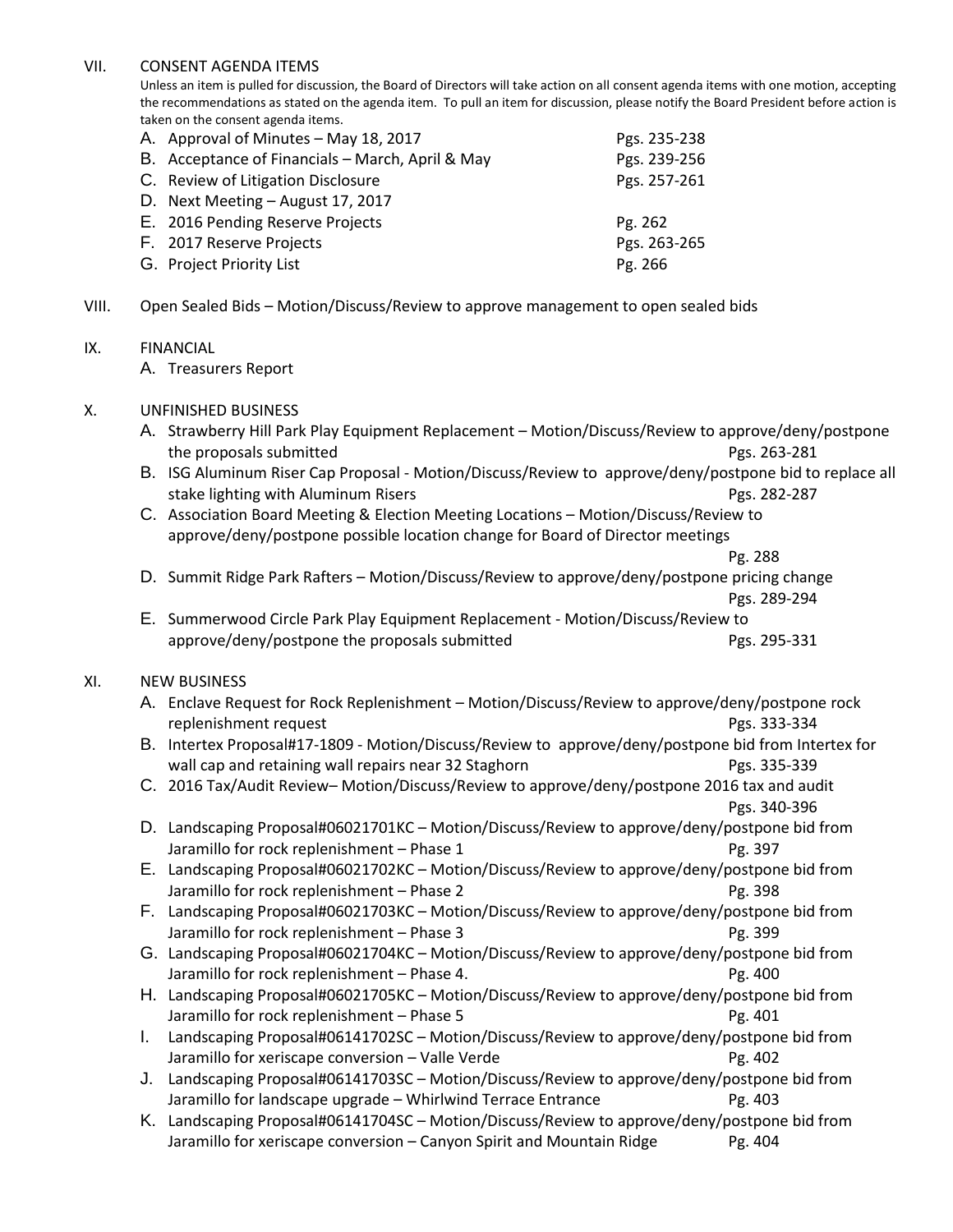#### VII. CONSENT AGENDA ITEMS

Unless an item is pulled for discussion, the Board of Directors will take action on all consent agenda items with one motion, accepting the recommendations as stated on the agenda item. To pull an item for discussion, please notify the Board President before action is taken on the consent agenda items.

| A. Approval of Minutes - May 18, 2017            | Pgs. 235-238 |
|--------------------------------------------------|--------------|
| B. Acceptance of Financials - March, April & May | Pgs. 239-256 |
| C. Review of Litigation Disclosure               | Pgs. 257-261 |
| D. Next Meeting - August 17, 2017                |              |
| E. 2016 Pending Reserve Projects                 | Pg. 262      |
| F. 2017 Reserve Projects                         | Pgs. 263-265 |
| G. Project Priority List                         | Pg. 266      |
|                                                  |              |

VIII. Open Sealed Bids – Motion/Discuss/Review to approve management to open sealed bids

### IX. FINANCIAL

A. Treasurers Report

### X. UNFINISHED BUSINESS

- A. Strawberry Hill Park Play Equipment Replacement Motion/Discuss/Review to approve/deny/postpone the proposals submitted **Pgs.** 263-281
- B. ISG Aluminum Riser Cap Proposal Motion/Discuss/Review to approve/deny/postpone bid to replace all stake lighting with Aluminum Risers **Pgs. 282-287** Pgs. 282-287
- C. Association Board Meeting & Election Meeting Locations Motion/Discuss/Review to approve/deny/postpone possible location change for Board of Director meetings

Pg. 288

- D. Summit Ridge Park Rafters Motion/Discuss/Review to approve/deny/postpone pricing change Pgs. 289-294
- E. Summerwood Circle Park Play Equipment Replacement Motion/Discuss/Review to approve/deny/postpone the proposals submitted example 2015-231 Pgs. 295-331

### XI. NEW BUSINESS

- A. Enclave Request for Rock Replenishment Motion/Discuss/Review to approve/deny/postpone rock replenishment request **Pgs. 333-334**
- B. Intertex Proposal#17-1809 Motion/Discuss/Review to approve/deny/postpone bid from Intertex for wall cap and retaining wall repairs near 32 Staghorn **Pgs. 335-339** Pgs. 335-339
- C. 2016 Tax/Audit Review– Motion/Discuss/Review to approve/deny/postpone 2016 tax and audit Pgs. 340-396
- D. Landscaping Proposal#06021701KC Motion/Discuss/Review to approve/deny/postpone bid from Jaramillo for rock replenishment – Phase 1 Pg. 397
- E. Landscaping Proposal#06021702KC Motion/Discuss/Review to approve/deny/postpone bid from Jaramillo for rock replenishment – Phase 2 Pg. 398
- F. Landscaping Proposal#06021703KC Motion/Discuss/Review to approve/deny/postpone bid from Jaramillo for rock replenishment – Phase 3 Pg. 399
- G. Landscaping Proposal#06021704KC Motion/Discuss/Review to approve/deny/postpone bid from Jaramillo for rock replenishment – Phase 4. Pg. 400
- H. Landscaping Proposal#06021705KC Motion/Discuss/Review to approve/deny/postpone bid from Jaramillo for rock replenishment – Phase 5 Pg. 401
- I. Landscaping Proposal#06141702SC Motion/Discuss/Review to approve/deny/postpone bid from Jaramillo for xeriscape conversion – Valle Verde Pg. 402
- J. Landscaping Proposal#06141703SC Motion/Discuss/Review to approve/deny/postpone bid from Jaramillo for landscape upgrade – Whirlwind Terrace Entrance **Pg. 403**
- K. Landscaping Proposal#06141704SC Motion/Discuss/Review to approve/deny/postpone bid from Jaramillo for xeriscape conversion - Canyon Spirit and Mountain Ridge Pg. 404